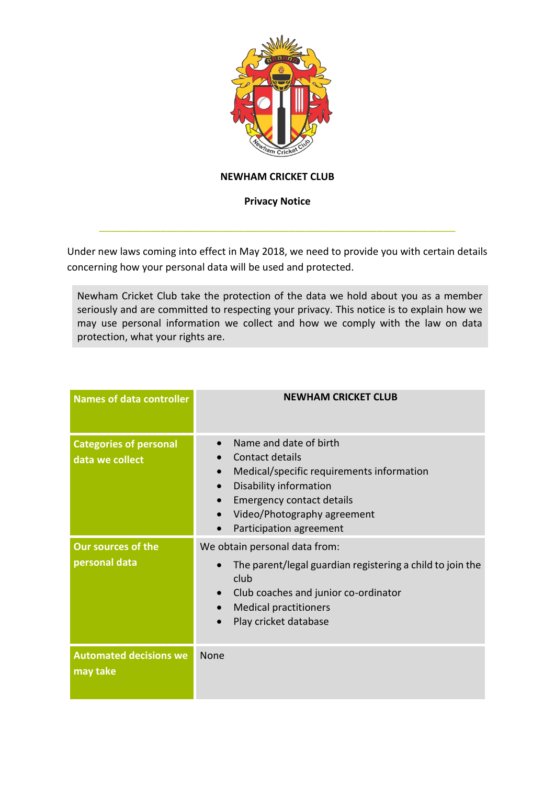

## **NEWHAM CRICKET CLUB**

## **Privacy Notice**

\_\_\_\_\_\_\_\_\_\_\_\_\_\_\_\_\_\_\_\_\_\_\_\_\_\_\_\_\_\_\_\_\_\_\_\_\_\_\_\_\_\_\_\_\_\_\_\_\_\_\_\_\_\_\_\_\_\_\_\_\_\_\_\_

Under new laws coming into effect in May 2018, we need to provide you with certain details concerning how your personal data will be used and protected.

Newham Cricket Club take the protection of the data we hold about you as a member seriously and are committed to respecting your privacy. This notice is to explain how we may use personal information we collect and how we comply with the law on data protection, what your rights are.

| <b>Names of data controller</b>                  | <b>NEWHAM CRICKET CLUB</b>                                                                                                                                                                                                                                                                   |
|--------------------------------------------------|----------------------------------------------------------------------------------------------------------------------------------------------------------------------------------------------------------------------------------------------------------------------------------------------|
| <b>Categories of personal</b><br>data we collect | Name and date of birth<br>Contact details<br>$\bullet$<br>Medical/specific requirements information<br>$\bullet$<br>Disability information<br>$\bullet$<br><b>Emergency contact details</b><br>$\bullet$<br>Video/Photography agreement<br>$\bullet$<br>Participation agreement<br>$\bullet$ |
| <b>Our sources of the</b><br>personal data       | We obtain personal data from:<br>The parent/legal guardian registering a child to join the<br>club<br>Club coaches and junior co-ordinator<br>$\bullet$<br><b>Medical practitioners</b><br>Play cricket database                                                                             |
| <b>Automated decisions we</b><br>may take        | None                                                                                                                                                                                                                                                                                         |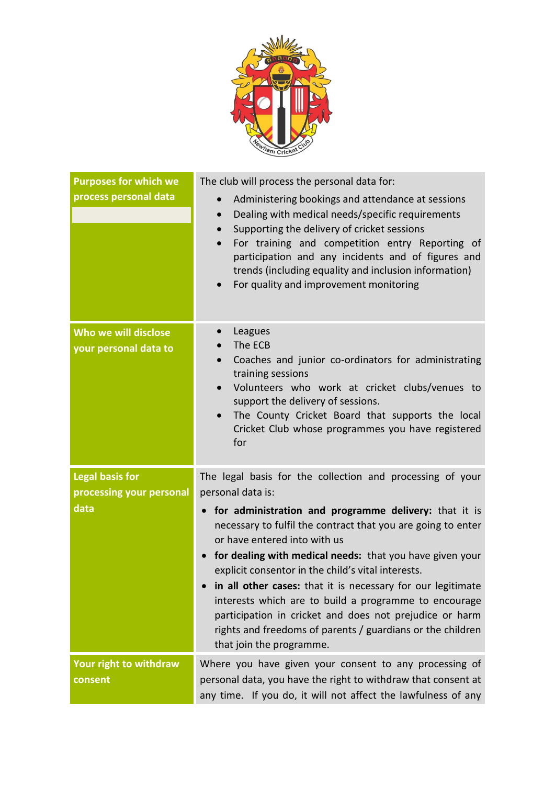

| <b>Purposes for which we</b><br>process personal data      | The club will process the personal data for:<br>Administering bookings and attendance at sessions<br>Dealing with medical needs/specific requirements<br>Supporting the delivery of cricket sessions<br>$\bullet$<br>For training and competition entry Reporting of<br>$\bullet$<br>participation and any incidents and of figures and<br>trends (including equality and inclusion information)<br>For quality and improvement monitoring<br>$\bullet$                                                                                                                                                                                             |
|------------------------------------------------------------|-----------------------------------------------------------------------------------------------------------------------------------------------------------------------------------------------------------------------------------------------------------------------------------------------------------------------------------------------------------------------------------------------------------------------------------------------------------------------------------------------------------------------------------------------------------------------------------------------------------------------------------------------------|
| Who we will disclose<br>your personal data to              | Leagues<br>The ECB<br>Coaches and junior co-ordinators for administrating<br>training sessions<br>Volunteers who work at cricket clubs/venues to<br>support the delivery of sessions.<br>The County Cricket Board that supports the local<br>Cricket Club whose programmes you have registered<br>for                                                                                                                                                                                                                                                                                                                                               |
| <b>Legal basis for</b><br>processing your personal<br>data | The legal basis for the collection and processing of your<br>personal data is:<br>for administration and programme delivery: that it is<br>$\bullet$<br>necessary to fulfil the contract that you are going to enter<br>or have entered into with us<br>for dealing with medical needs: that you have given your<br>explicit consentor in the child's vital interests.<br>in all other cases: that it is necessary for our legitimate<br>interests which are to build a programme to encourage<br>participation in cricket and does not prejudice or harm<br>rights and freedoms of parents / guardians or the children<br>that join the programme. |
| Your right to withdraw<br>consent                          | Where you have given your consent to any processing of<br>personal data, you have the right to withdraw that consent at<br>any time. If you do, it will not affect the lawfulness of any                                                                                                                                                                                                                                                                                                                                                                                                                                                            |